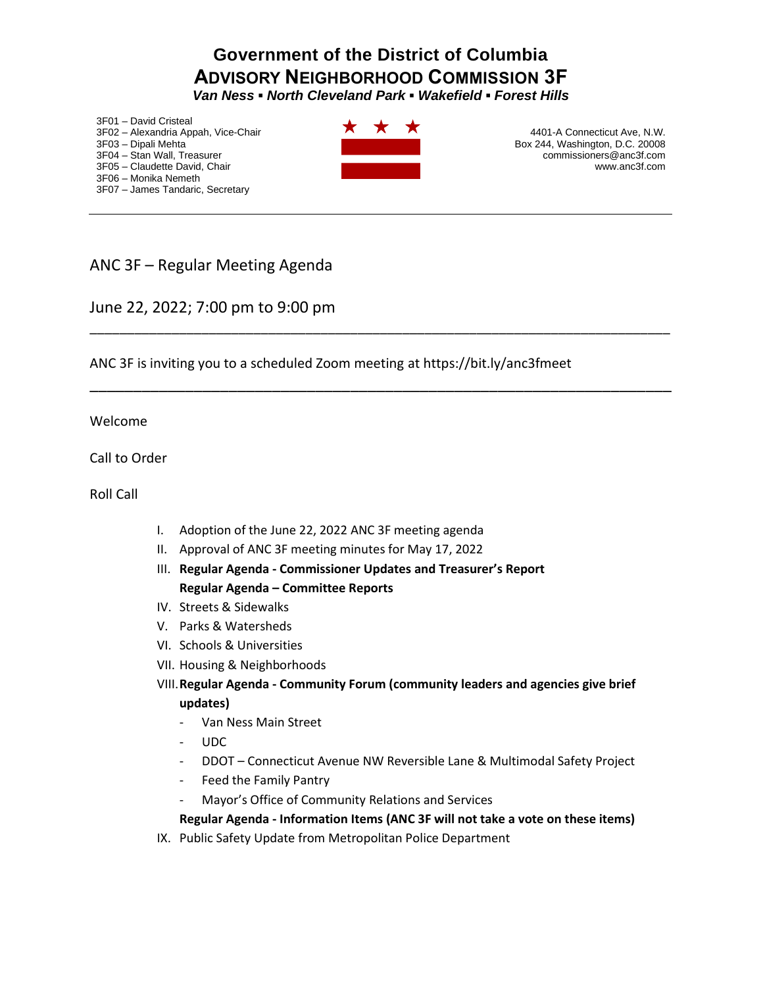## **Government of the District of Columbia ADVISORY NEIGHBORHOOD COMMISSION 3F**

*Van Ness ▪ North Cleveland Park ▪ Wakefield ▪ Forest Hills* 

3F01 – David Cristeal 3F02 – Alexandria Appah, Vice-Chair 3F03 – Dipali Mehta 3F04 – Stan Wall, Treasurer 3F05 – Claudette David, Chair 3F06 – Monika Nemeth 3F07 – James Tandaric, Secretary



\_\_\_\_\_\_\_\_\_\_\_\_\_\_\_\_\_\_\_\_\_\_\_\_\_\_\_\_\_\_\_\_\_\_\_\_\_\_\_\_\_\_\_\_\_\_\_\_\_\_\_\_\_\_\_\_\_\_\_\_\_\_\_\_\_\_\_\_\_\_\_\_\_\_\_\_\_\_

\_\_\_\_\_\_\_\_\_\_\_\_\_\_\_\_\_\_\_\_\_\_\_\_\_\_\_\_\_\_\_\_\_\_\_\_\_\_\_\_\_\_\_\_\_\_\_\_\_\_\_\_\_\_\_\_\_\_\_\_\_\_\_\_\_\_\_

4401-A Connecticut Ave, N.W. Box 244, Washington, D.C. 20008 commissioners@anc3f.com www.anc3f.com

## ANC 3F – Regular Meeting Agenda

## June 22, 2022; 7:00 pm to 9:00 pm

ANC 3F is inviting you to a scheduled Zoom meeting at https://bit.ly/anc3fmeet

Welcome

Call to Order

Roll Call

- I. Adoption of the June 22, 2022 ANC 3F meeting agenda
- II. Approval of ANC 3F meeting minutes for May 17, 2022
- III. **Regular Agenda - Commissioner Updates and Treasurer's Report Regular Agenda – Committee Reports**
- IV. Streets & Sidewalks
- V. Parks & Watersheds
- VI. Schools & Universities
- VII. Housing & Neighborhoods
- VIII.**Regular Agenda - Community Forum (community leaders and agencies give brief updates)**
	- Van Ness Main Street
	- UDC
	- DDOT Connecticut Avenue NW Reversible Lane & Multimodal Safety Project
	- Feed the Family Pantry
	- Mayor's Office of Community Relations and Services

**Regular Agenda - Information Items (ANC 3F will not take a vote on these items)**

IX. Public Safety Update from Metropolitan Police Department